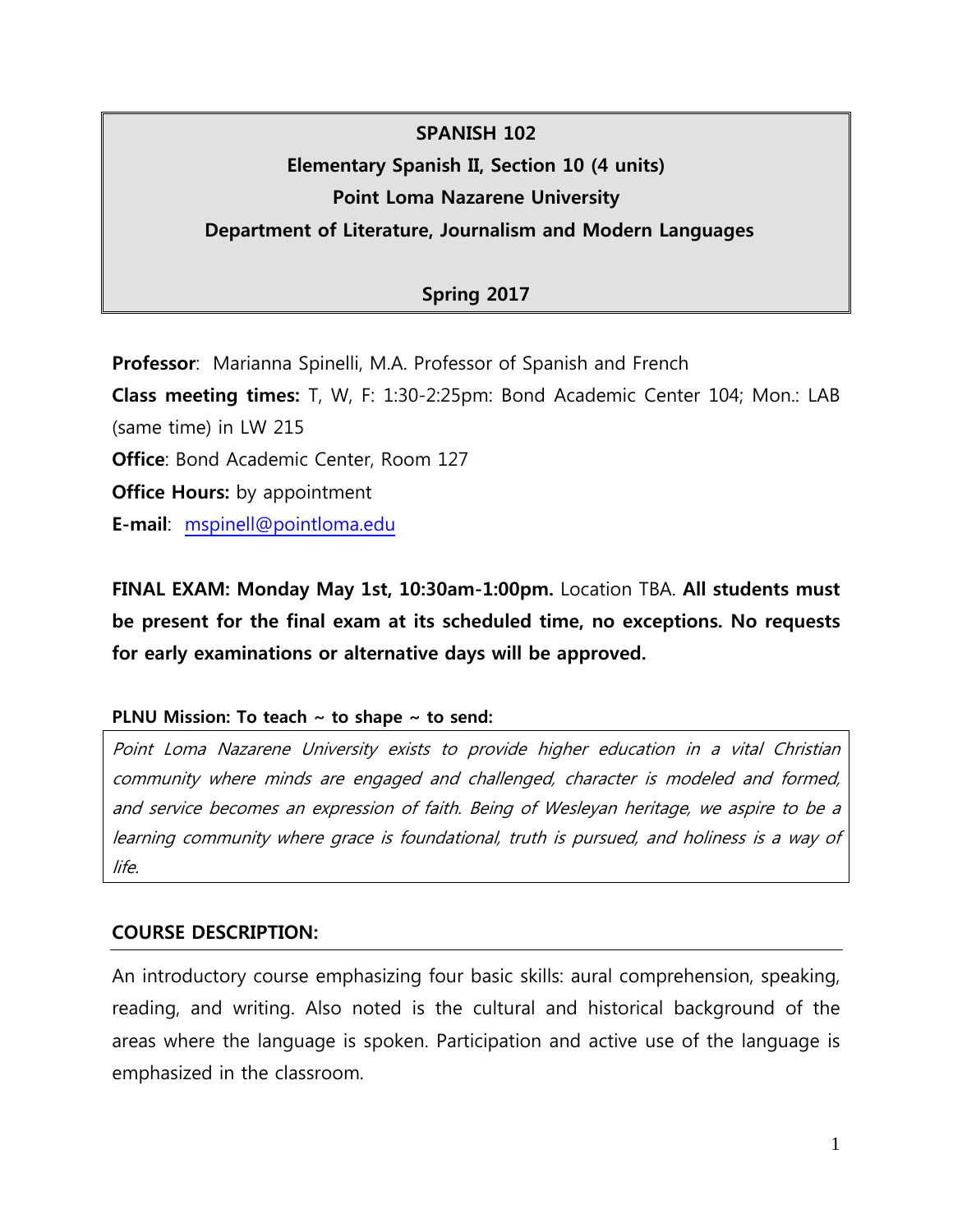# **SPANISH 102 Elementary Spanish II, Section 10 (4 units) Point Loma Nazarene University**

# **Department of Literature, Journalism and Modern Languages**

# **Spring 2017**

**Professor**: Marianna Spinelli, M.A. Professor of Spanish and French

**Class meeting times:** T, W, F: 1:30-2:25pm: Bond Academic Center 104; Mon.: LAB (same time) in LW 215

**Office: Bond Academic Center, Room 127** 

**Office Hours:** by appointment

**E-mail**: [mspinell@pointloma.edu](mailto:mspinell@pointloma.edu)

**FINAL EXAM: Monday May 1st, 10:30am-1:00pm.** Location TBA. **All students must be present for the final exam at its scheduled time, no exceptions. No requests for early examinations or alternative days will be approved.**

#### **PLNU Mission: To teach ~ to shape ~ to send:**

Point Loma Nazarene University exists to provide higher education in a vital Christian community where minds are engaged and challenged, character is modeled and formed, and service becomes an expression of faith. Being of Wesleyan heritage, we aspire to be a learning community where grace is foundational, truth is pursued, and holiness is a way of life.

## **COURSE DESCRIPTION:**

An introductory course emphasizing four basic skills: aural comprehension, speaking, reading, and writing. Also noted is the cultural and historical background of the areas where the language is spoken. Participation and active use of the language is emphasized in the classroom.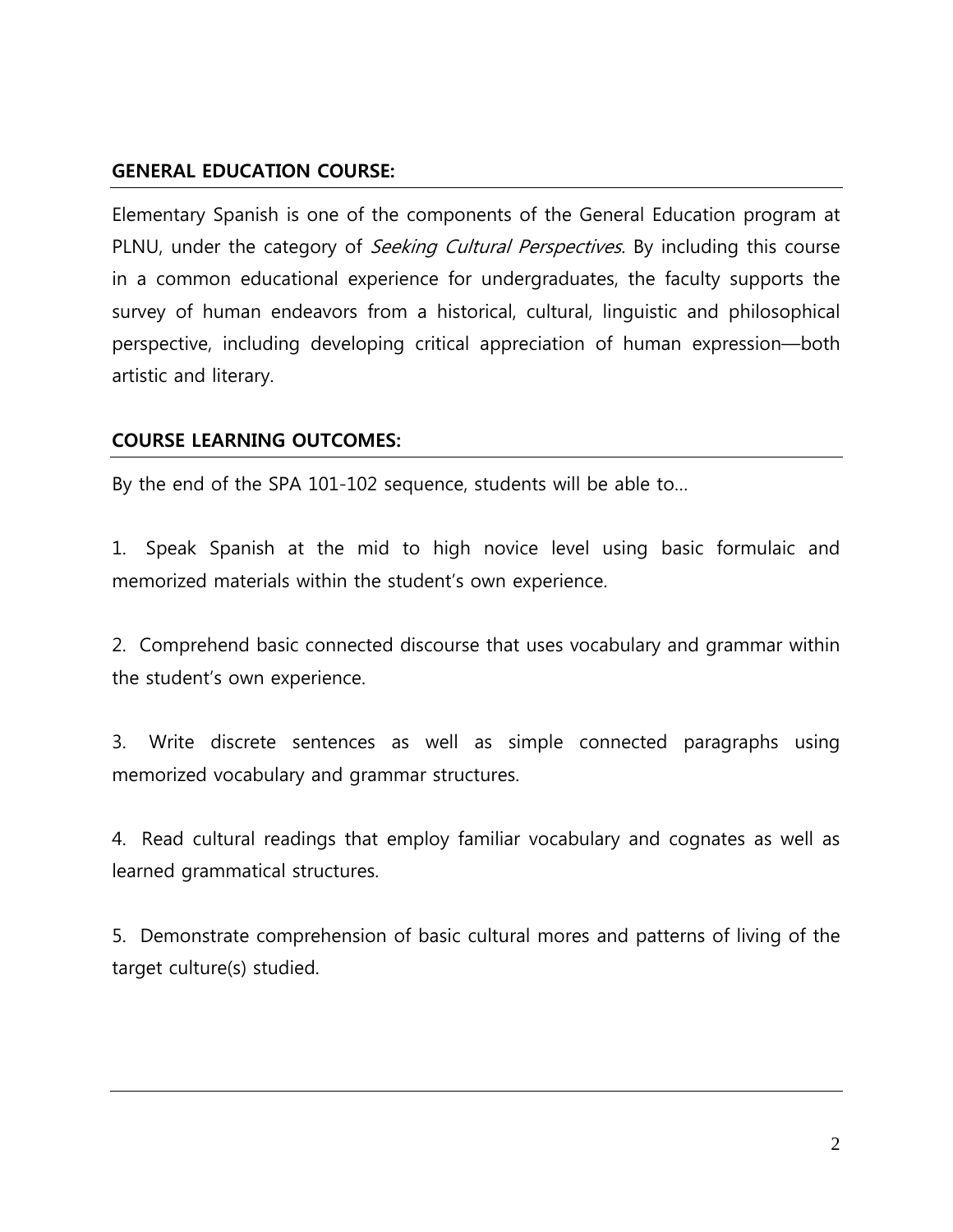# **GENERAL EDUCATION COURSE:**

Elementary Spanish is one of the components of the General Education program at PLNU, under the category of *Seeking Cultural Perspectives*. By including this course in a common educational experience for undergraduates, the faculty supports the survey of human endeavors from a historical, cultural, linguistic and philosophical perspective, including developing critical appreciation of human expression—both artistic and literary.

# **COURSE LEARNING OUTCOMES:**

By the end of the SPA 101-102 sequence, students will be able to…

1. Speak Spanish at the mid to high novice level using basic formulaic and memorized materials within the student's own experience.

2. Comprehend basic connected discourse that uses vocabulary and grammar within the student's own experience.

3. Write discrete sentences as well as simple connected paragraphs using memorized vocabulary and grammar structures.

4. Read cultural readings that employ familiar vocabulary and cognates as well as learned grammatical structures.

5. Demonstrate comprehension of basic cultural mores and patterns of living of the target culture(s) studied.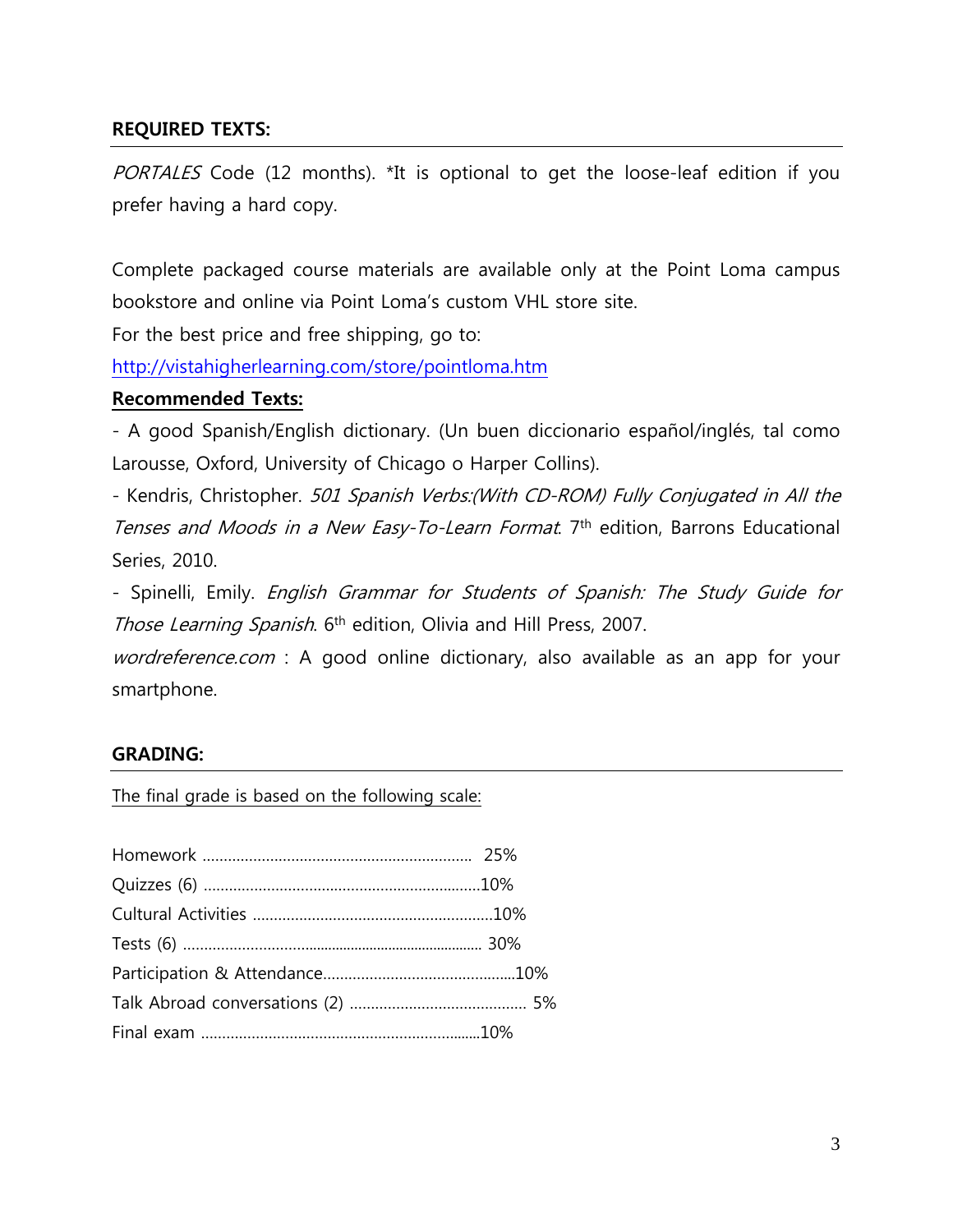# **REQUIRED TEXTS:**

PORTALES Code (12 months). \*It is optional to get the loose-leaf edition if you prefer having a hard copy.

Complete packaged course materials are available only at the Point Loma campus bookstore and online via Point Loma's custom VHL store site.

For the best price and free shipping, go to:

<http://vistahigherlearning.com/store/pointloma.htm>

#### **Recommended Texts:**

- A good Spanish/English dictionary. (Un buen diccionario español/inglés, tal como Larousse, Oxford, University of Chicago o Harper Collins).

- Kendris, Christopher. 501 Spanish Verbs:(With CD-ROM) Fully Conjugated in All the Tenses and Moods in a New Easy-To-Learn Format. 7<sup>th</sup> edition, Barrons Educational Series, 2010.

- Spinelli, Emily. English Grammar for Students of Spanish: The Study Guide for Those Learning Spanish. 6<sup>th</sup> edition, Olivia and Hill Press, 2007.

wordreference.com : A good online dictionary, also available as an app for your smartphone.

#### **GRADING:**

The final grade is based on the following scale: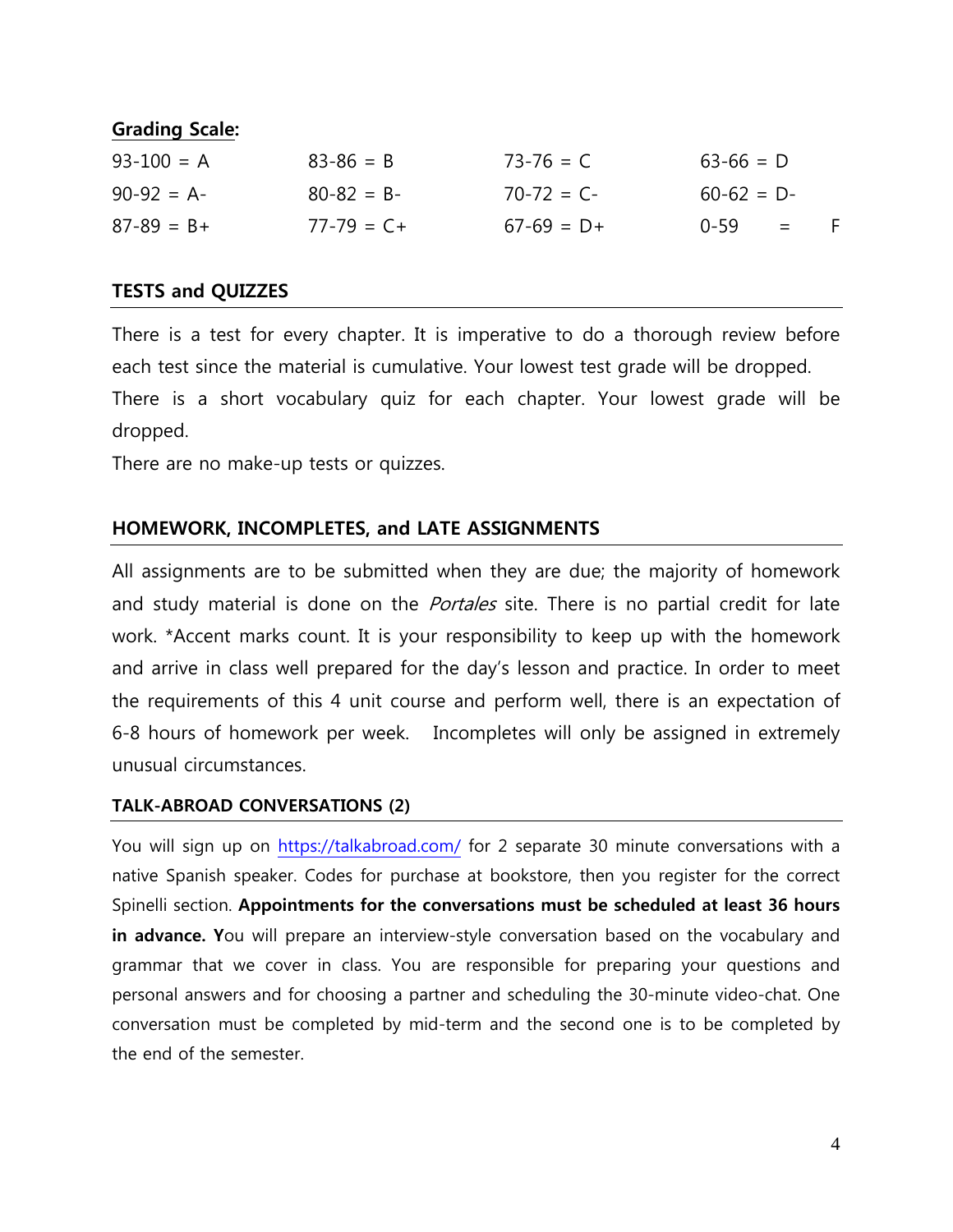# **Grading Scale:**

| $93 - 100 = A$ | $83 - 86 = B$   | $73 - 76 = C$   | $63 - 66 = D$ |          |     |
|----------------|-----------------|-----------------|---------------|----------|-----|
| $90-92 = A$    | $80 - 82 = B -$ | $70 - 72 = C -$ | $60-62 = D$   |          |     |
| $87-89 = B +$  | $77 - 79 = C +$ | $67-69 = D+$    | በ-59          | $\equiv$ | - F |

## **TESTS and QUIZZES**

There is a test for every chapter. It is imperative to do a thorough review before each test since the material is cumulative. Your lowest test grade will be dropped. There is a short vocabulary quiz for each chapter. Your lowest grade will be dropped.

There are no make-up tests or quizzes.

## **HOMEWORK, INCOMPLETES, and LATE ASSIGNMENTS**

All assignments are to be submitted when they are due; the majority of homework and study material is done on the *Portales* site. There is no partial credit for late work. \*Accent marks count. It is your responsibility to keep up with the homework and arrive in class well prepared for the day's lesson and practice. In order to meet the requirements of this 4 unit course and perform well, there is an expectation of 6-8 hours of homework per week. Incompletes will only be assigned in extremely unusual circumstances.

#### **TALK-ABROAD CONVERSATIONS (2)**

You will sign up on<https://talkabroad.com/> for 2 separate 30 minute conversations with a native Spanish speaker. Codes for purchase at bookstore, then you register for the correct Spinelli section. **Appointments for the conversations must be scheduled at least 36 hours in advance. Y**ou will prepare an interview-style conversation based on the vocabulary and grammar that we cover in class. You are responsible for preparing your questions and personal answers and for choosing a partner and scheduling the 30-minute video-chat. One conversation must be completed by mid-term and the second one is to be completed by the end of the semester.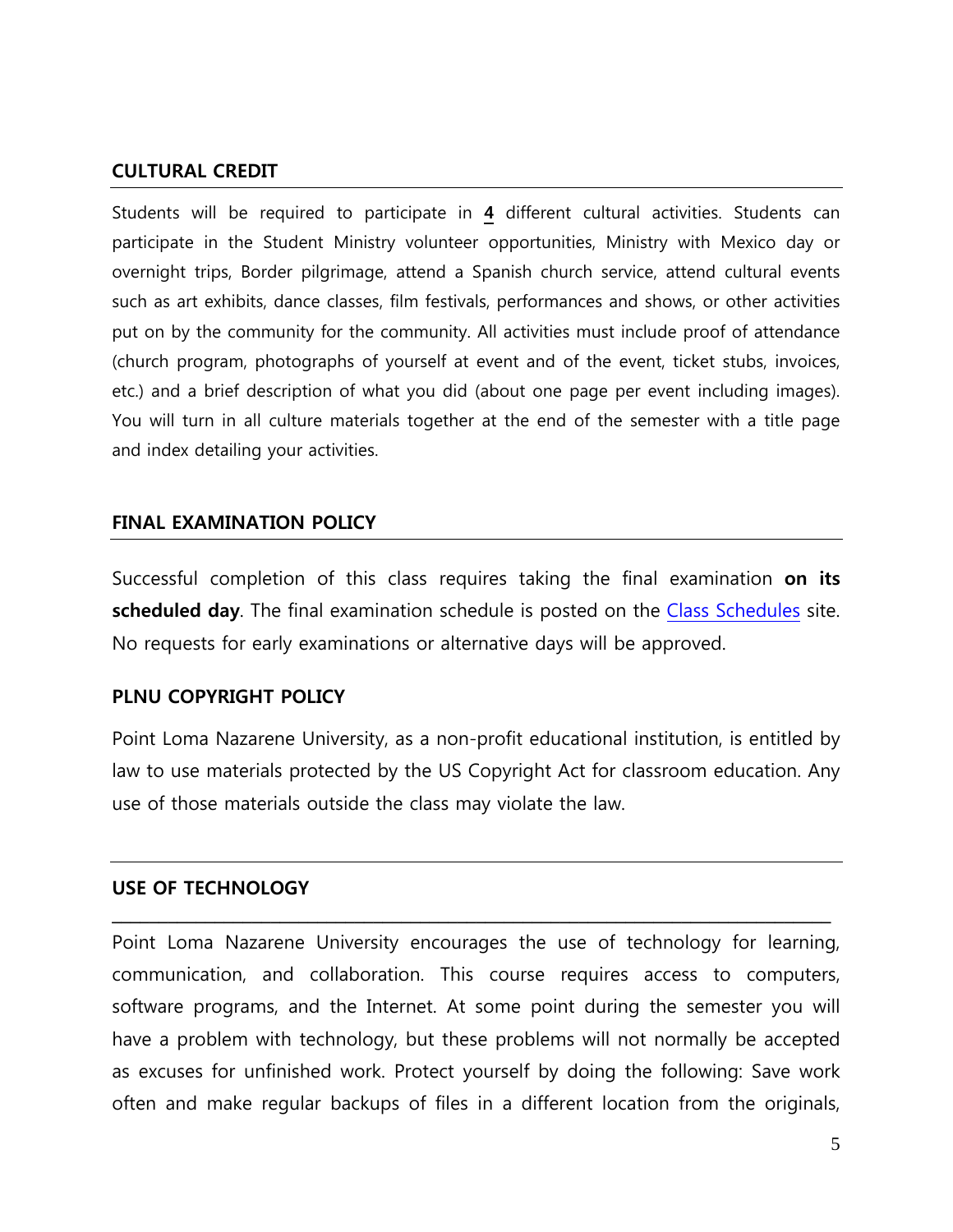#### **CULTURAL CREDIT**

Students will be required to participate in **4** different cultural activities. Students can participate in the Student Ministry volunteer opportunities, Ministry with Mexico day or overnight trips, Border pilgrimage, attend a Spanish church service, attend cultural events such as art exhibits, dance classes, film festivals, performances and shows, or other activities put on by the community for the community. All activities must include proof of attendance (church program, photographs of yourself at event and of the event, ticket stubs, invoices, etc.) and a brief description of what you did (about one page per event including images). You will turn in all culture materials together at the end of the semester with a title page and index detailing your activities.

#### **FINAL EXAMINATION POLICY**

Successful completion of this class requires taking the final examination **on its scheduled day**. The final examination schedule is posted on the [Class Schedules](http://www.pointloma.edu/experience/academics/class-schedules) site. No requests for early examinations or alternative days will be approved.

#### **PLNU COPYRIGHT POLICY**

Point Loma Nazarene University, as a non-profit educational institution, is entitled by law to use materials protected by the US Copyright Act for classroom education. Any use of those materials outside the class may violate the law.

#### **USE OF TECHNOLOGY**

Point Loma Nazarene University encourages the use of technology for learning, communication, and collaboration. This course requires access to computers, software programs, and the Internet. At some point during the semester you will have a problem with technology, but these problems will not normally be accepted as excuses for unfinished work. Protect yourself by doing the following: Save work often and make regular backups of files in a different location from the originals,

**\_\_\_\_\_\_\_\_\_\_\_\_\_\_\_\_\_\_\_\_\_\_\_\_\_\_\_\_\_\_\_\_\_\_\_\_\_\_\_\_\_\_\_\_\_\_\_\_\_\_\_\_\_\_\_\_\_\_\_\_\_\_\_\_\_\_\_\_\_\_\_\_\_\_\_\_\_**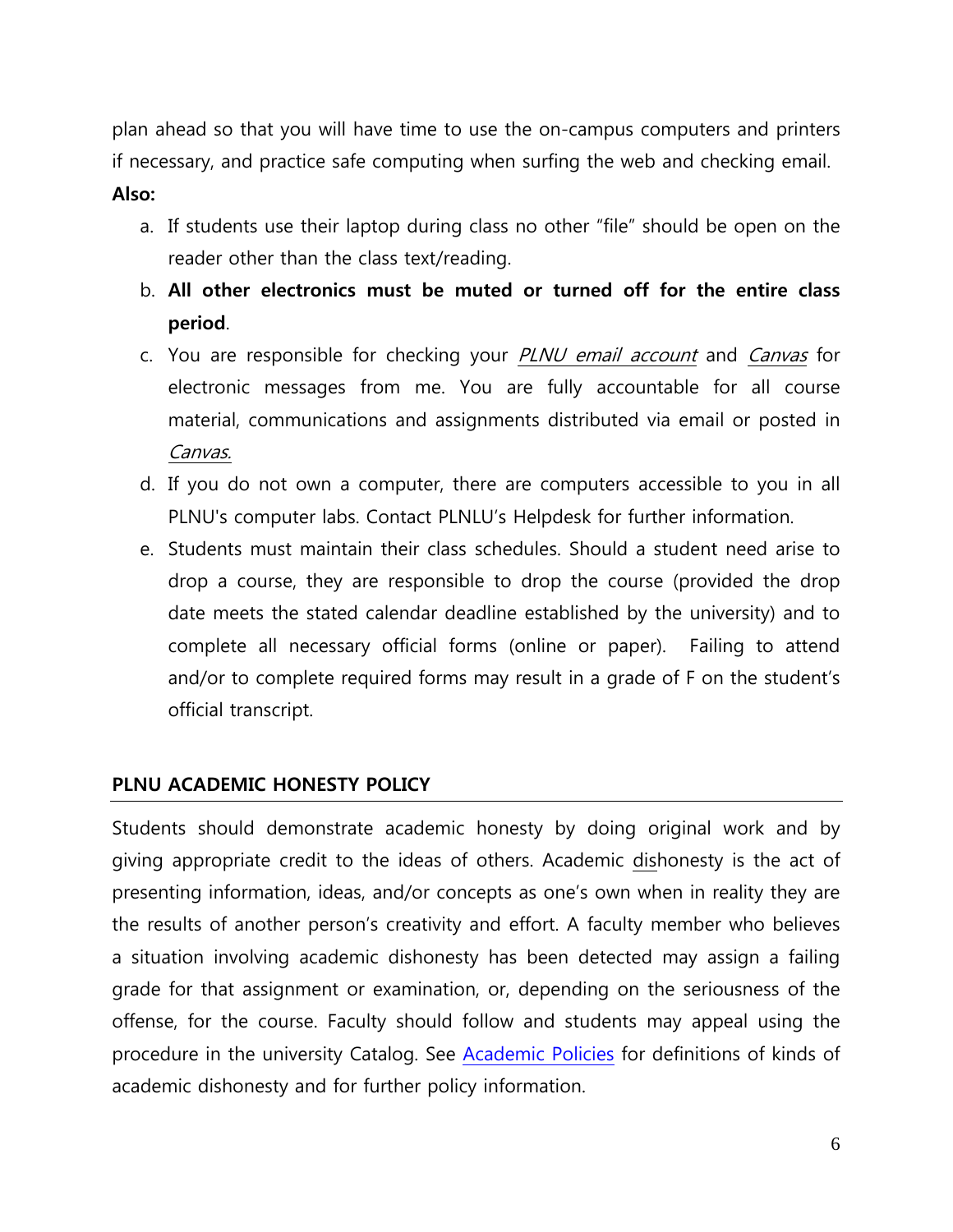plan ahead so that you will have time to use the on-campus computers and printers if necessary, and practice safe computing when surfing the web and checking email.

### **Also:**

- a. If students use their laptop during class no other "file" should be open on the reader other than the class text/reading.
- b. **All other electronics must be muted or turned off for the entire class period**.
- c. You are responsible for checking your PLNU email account and Canvas for electronic messages from me. You are fully accountable for all course material, communications and assignments distributed via email or posted in Canvas.
- d. If you do not own a computer, there are computers accessible to you in all PLNU's computer labs. Contact PLNLU's Helpdesk for further information.
- e. Students must maintain their class schedules. Should a student need arise to drop a course, they are responsible to drop the course (provided the drop date meets the stated calendar deadline established by the university) and to complete all necessary official forms (online or paper). Failing to attend and/or to complete required forms may result in a grade of F on the student's official transcript.

# **PLNU ACADEMIC HONESTY POLICY**

Students should demonstrate academic honesty by doing original work and by giving appropriate credit to the ideas of others. Academic dishonesty is the act of presenting information, ideas, and/or concepts as one's own when in reality they are the results of another person's creativity and effort. A faculty member who believes a situation involving academic dishonesty has been detected may assign a failing grade for that assignment or examination, or, depending on the seriousness of the offense, for the course. Faculty should follow and students may appeal using the procedure in the university Catalog. See [Academic Policies](http://catalog.pointloma.edu/content.php?catoid=18&navoid=1278) for definitions of kinds of academic dishonesty and for further policy information.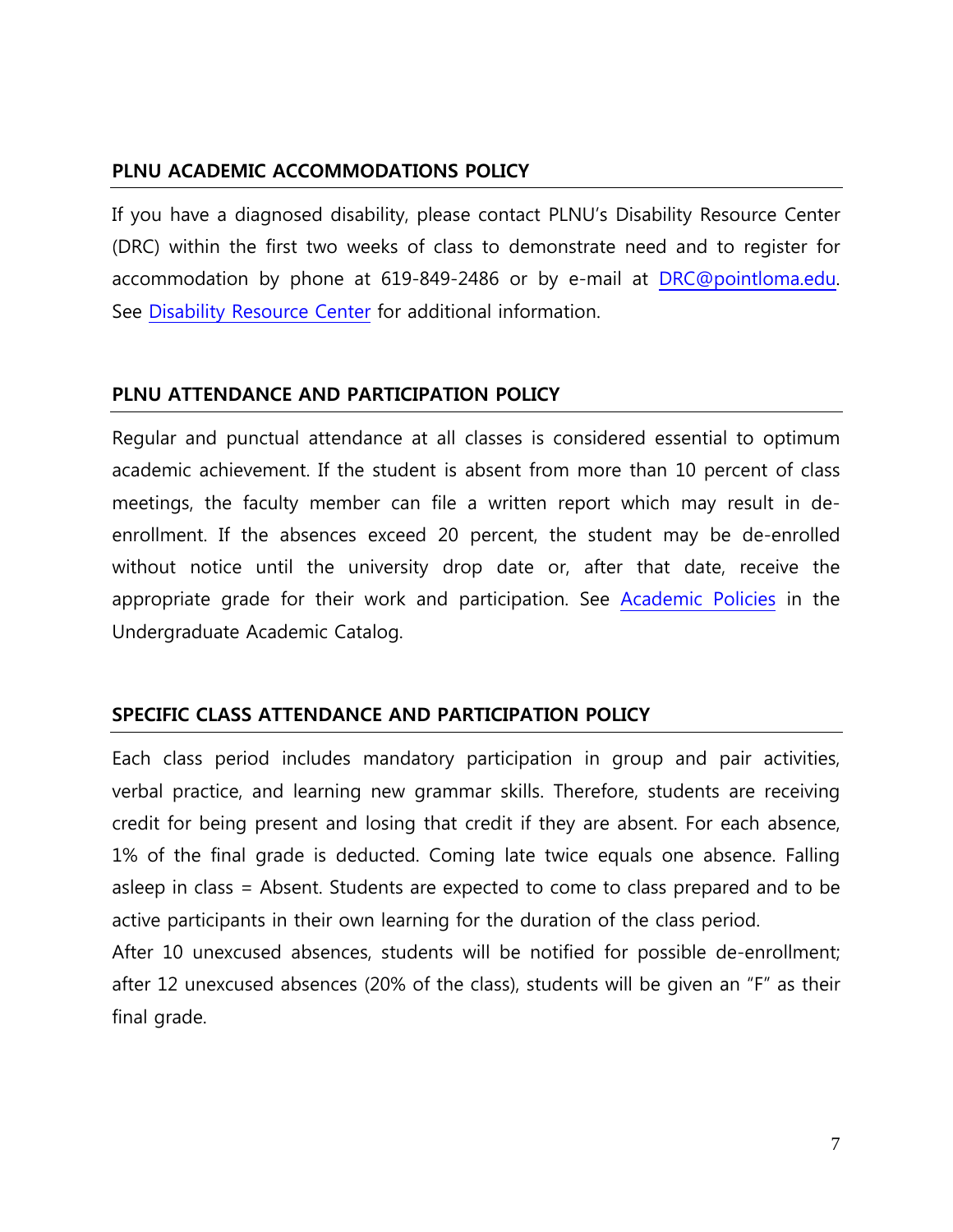# **PLNU ACADEMIC ACCOMMODATIONS POLICY**

If you have a diagnosed disability, please contact PLNU's Disability Resource Center (DRC) within the first two weeks of class to demonstrate need and to register for accommodation by phone at 619-849-2486 or by e-mail at [DRC@pointloma.edu.](mailto:DRC@pointloma.edu) See [Disability Resource Center](http://www.pointloma.edu/experience/offices/administrative-offices/academic-advising-office/disability-resource-center) for additional information.

## **PLNU ATTENDANCE AND PARTICIPATION POLICY**

Regular and punctual attendance at all classes is considered essential to optimum academic achievement. If the student is absent from more than 10 percent of class meetings, the faculty member can file a written report which may result in deenrollment. If the absences exceed 20 percent, the student may be de-enrolled without notice until the university drop date or, after that date, receive the appropriate grade for their work and participation. See [Academic Policies](http://catalog.pointloma.edu/content.php?catoid=18&navoid=1278) in the Undergraduate Academic Catalog.

# **SPECIFIC CLASS ATTENDANCE AND PARTICIPATION POLICY**

Each class period includes mandatory participation in group and pair activities, verbal practice, and learning new grammar skills. Therefore, students are receiving credit for being present and losing that credit if they are absent. For each absence, 1% of the final grade is deducted. Coming late twice equals one absence. Falling asleep in class = Absent. Students are expected to come to class prepared and to be active participants in their own learning for the duration of the class period.

After 10 unexcused absences, students will be notified for possible de-enrollment; after 12 unexcused absences (20% of the class), students will be given an "F" as their final grade.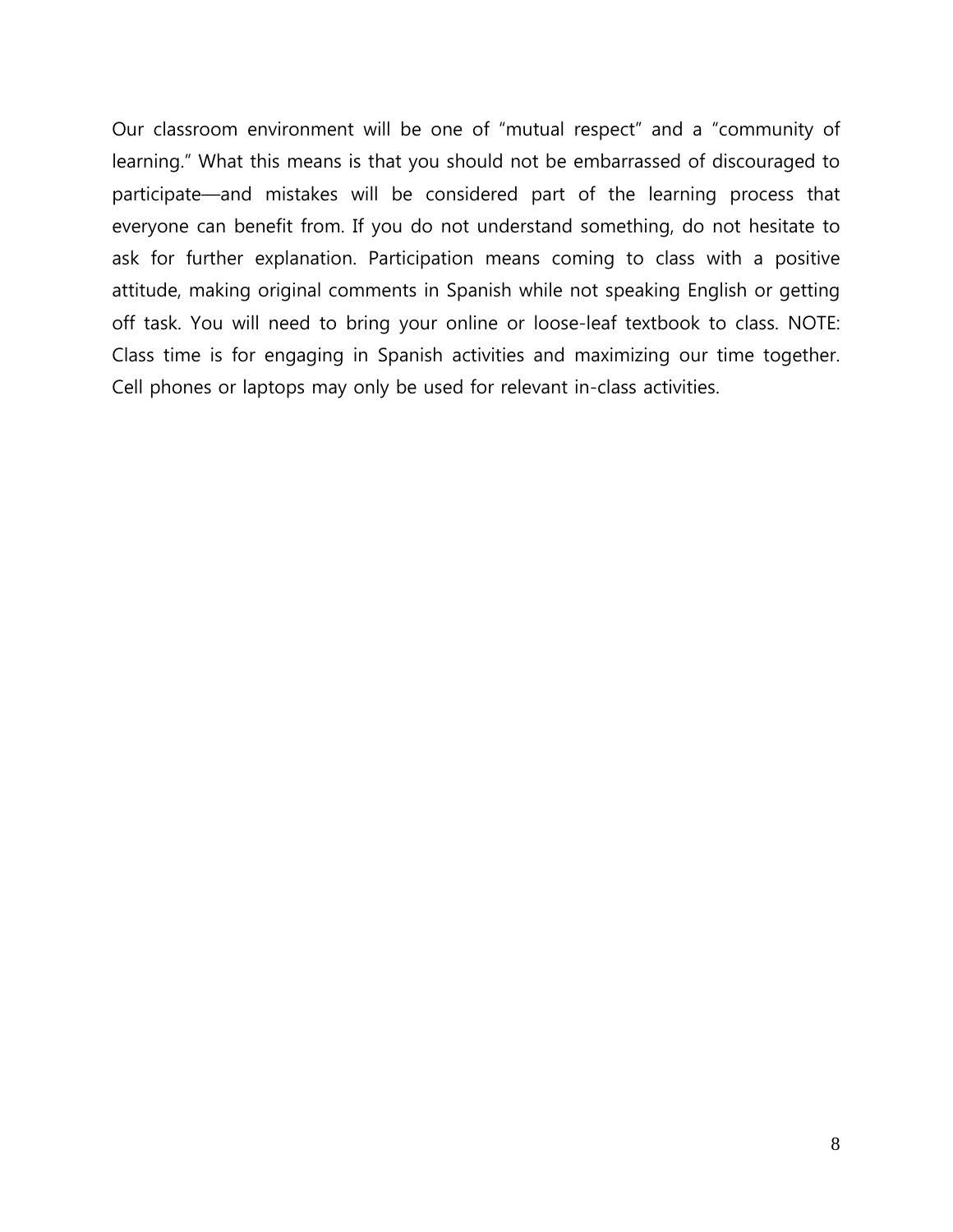Our classroom environment will be one of "mutual respect" and a "community of learning." What this means is that you should not be embarrassed of discouraged to participate—and mistakes will be considered part of the learning process that everyone can benefit from. If you do not understand something, do not hesitate to ask for further explanation. Participation means coming to class with a positive attitude, making original comments in Spanish while not speaking English or getting off task. You will need to bring your online or loose-leaf textbook to class. NOTE: Class time is for engaging in Spanish activities and maximizing our time together. Cell phones or laptops may only be used for relevant in-class activities.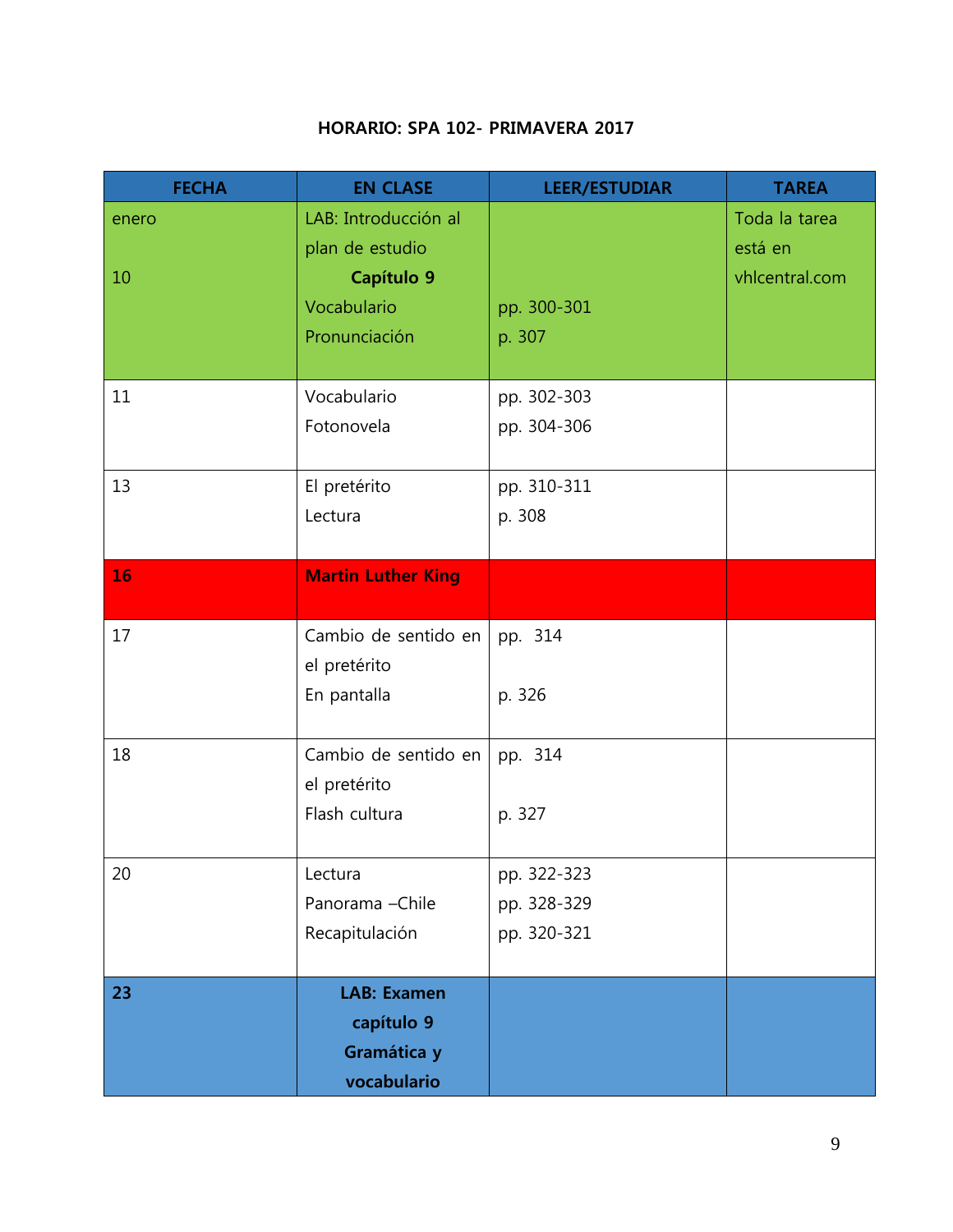# **HORARIO: SPA 102- PRIMAVERA 2017**

| <b>FECHA</b> | <b>EN CLASE</b>           | <b>LEER/ESTUDIAR</b> | <b>TAREA</b>   |
|--------------|---------------------------|----------------------|----------------|
| enero        | LAB: Introducción al      |                      | Toda la tarea  |
|              | plan de estudio           |                      | está en        |
| 10           | Capítulo 9                |                      | vhlcentral.com |
|              | Vocabulario               | pp. 300-301          |                |
|              | Pronunciación             | p. 307               |                |
|              |                           |                      |                |
| 11           | Vocabulario               | pp. 302-303          |                |
|              | Fotonovela                | pp. 304-306          |                |
| 13           | El pretérito              | pp. 310-311          |                |
|              | Lectura                   | p. 308               |                |
|              |                           |                      |                |
| 16           | <b>Martin Luther King</b> |                      |                |
|              |                           |                      |                |
| 17           | Cambio de sentido en      | pp. 314              |                |
|              | el pretérito              |                      |                |
|              | En pantalla               | p. 326               |                |
| 18           | Cambio de sentido en      |                      |                |
|              | el pretérito              | pp. 314              |                |
|              | Flash cultura             | p. 327               |                |
|              |                           |                      |                |
| 20           | Lectura                   | pp. 322-323          |                |
|              | Panorama - Chile          | pp. 328-329          |                |
|              | Recapitulación            | pp. 320-321          |                |
|              |                           |                      |                |
| 23           | <b>LAB: Examen</b>        |                      |                |
|              | capítulo 9                |                      |                |
|              | Gramática y               |                      |                |
|              | vocabulario               |                      |                |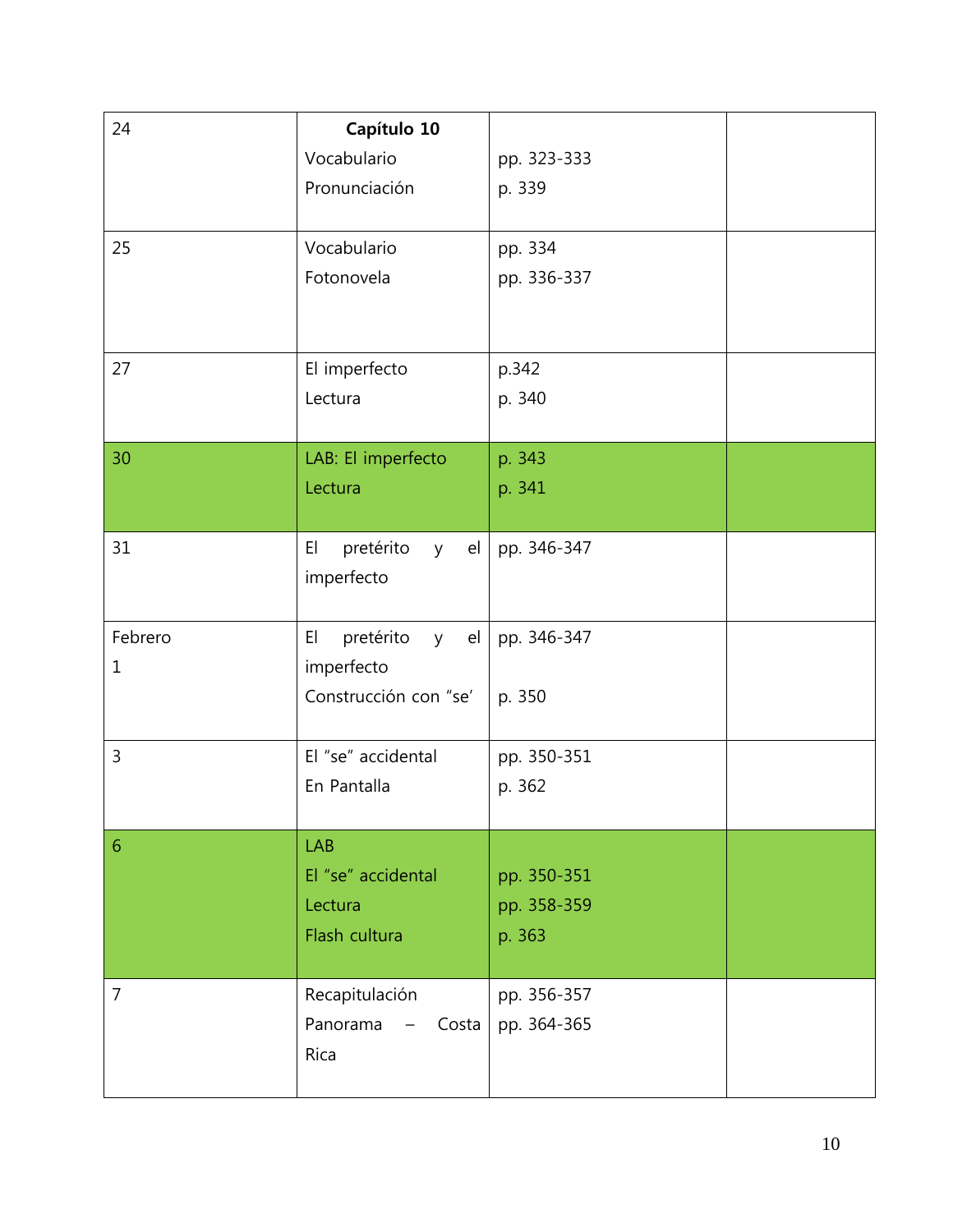| 24                      | Capítulo 10<br>Vocabulario<br>Pronunciación                    | pp. 323-333<br>p. 339                |  |
|-------------------------|----------------------------------------------------------------|--------------------------------------|--|
| 25                      | Vocabulario<br>Fotonovela                                      | pp. 334<br>pp. 336-337               |  |
| 27                      | El imperfecto<br>Lectura                                       | p.342<br>p. 340                      |  |
| 30                      | LAB: El imperfecto<br>Lectura                                  | p. 343<br>p. 341                     |  |
| 31                      | pretérito<br>y el<br>EI<br>imperfecto                          | pp. 346-347                          |  |
| Febrero<br>$\mathbf{1}$ | y el<br>EI<br>pretérito<br>imperfecto<br>Construcción con "se' | pp. 346-347<br>p. 350                |  |
| 3                       | El "se" accidental<br>En Pantalla                              | pp. 350-351<br>p. 362                |  |
| 6                       | LAB<br>El "se" accidental<br>Lectura<br>Flash cultura          | pp. 350-351<br>pp. 358-359<br>p. 363 |  |
| $\overline{7}$          | Recapitulación<br>Panorama<br>Costa<br>Rica                    | pp. 356-357<br>pp. 364-365           |  |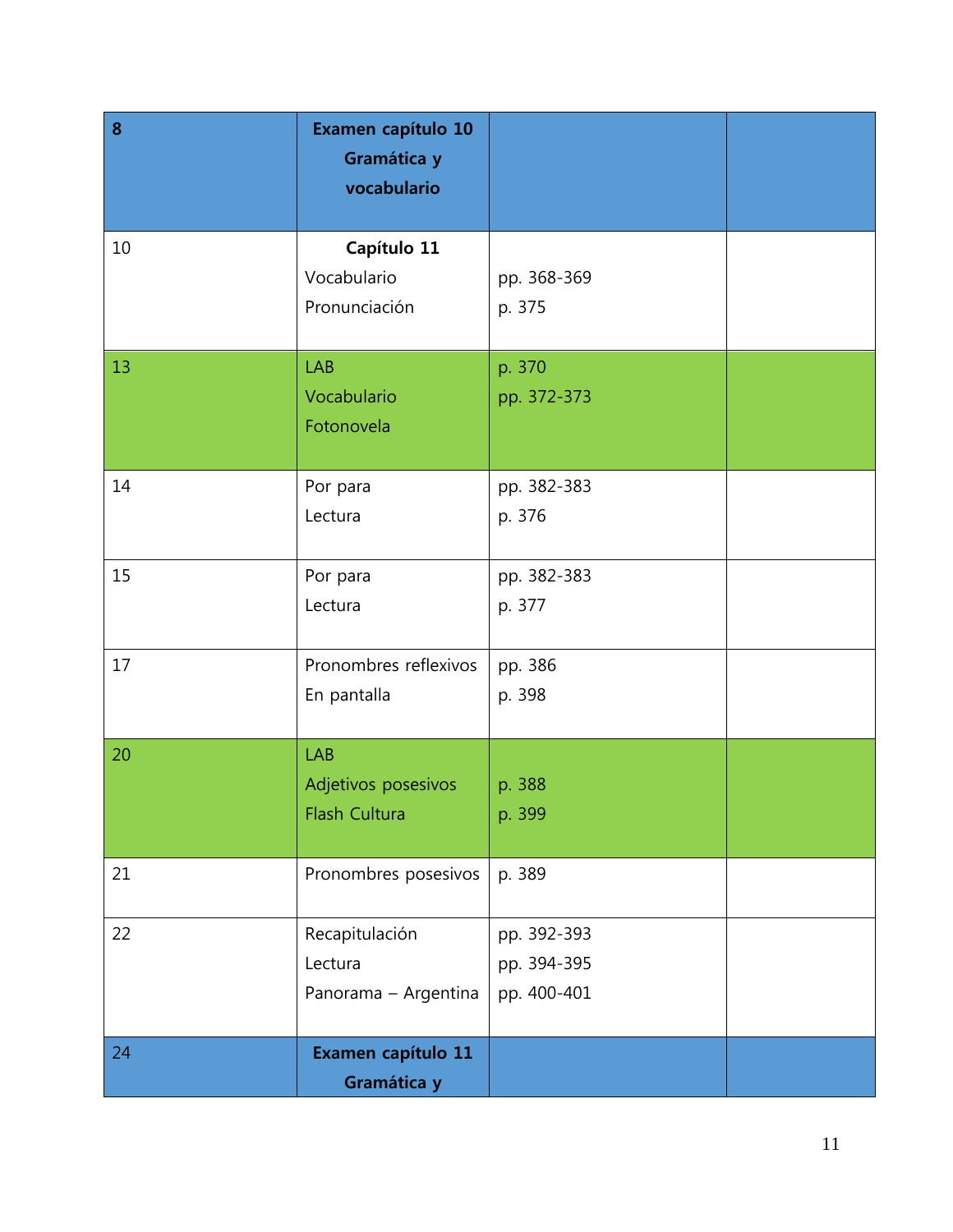| 8  | Examen capítulo 10<br>Gramática y<br>vocabulario   |                                           |  |
|----|----------------------------------------------------|-------------------------------------------|--|
| 10 | Capítulo 11<br>Vocabulario<br>Pronunciación        | pp. 368-369<br>p. 375                     |  |
| 13 | <b>LAB</b><br>Vocabulario<br>Fotonovela            | p. 370<br>pp. 372-373                     |  |
| 14 | Por para<br>Lectura                                | pp. 382-383<br>p. 376                     |  |
| 15 | Por para<br>Lectura                                | pp. 382-383<br>p. 377                     |  |
| 17 | Pronombres reflexivos<br>En pantalla               | pp. 386<br>p. 398                         |  |
| 20 | <b>LAB</b><br>Adjetivos posesivos<br>Flash Cultura | p. 388<br>p. 399                          |  |
| 21 | Pronombres posesivos                               | p. 389                                    |  |
| 22 | Recapitulación<br>Lectura<br>Panorama - Argentina  | pp. 392-393<br>pp. 394-395<br>pp. 400-401 |  |
| 24 | Examen capítulo 11<br>Gramática y                  |                                           |  |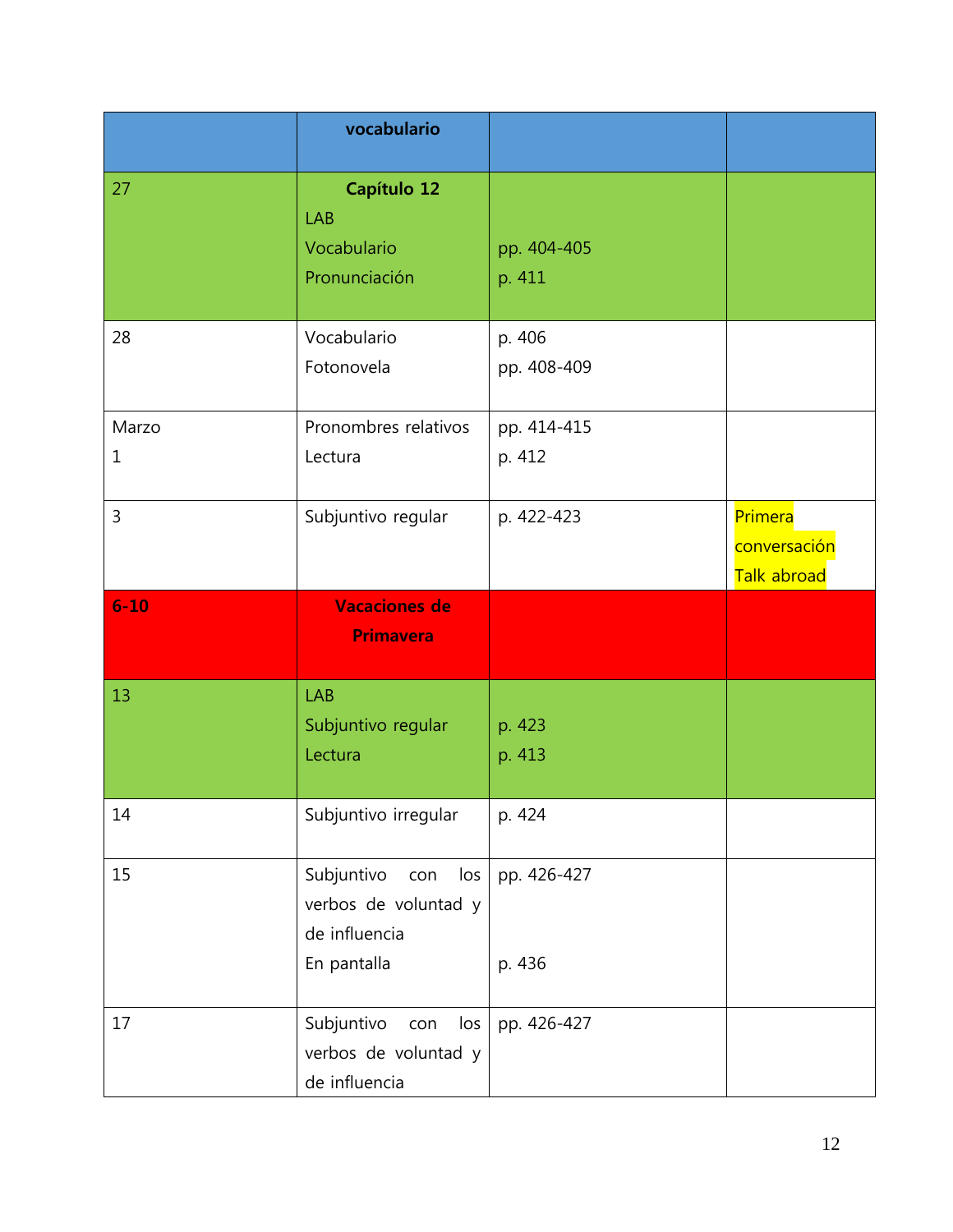|                      | vocabulario                                                                      |                       |                                        |
|----------------------|----------------------------------------------------------------------------------|-----------------------|----------------------------------------|
| 27                   | Capítulo 12<br><b>LAB</b><br>Vocabulario<br>Pronunciación                        | pp. 404-405<br>p. 411 |                                        |
| 28                   | Vocabulario<br>Fotonovela                                                        | p. 406<br>pp. 408-409 |                                        |
| Marzo<br>$\mathbf 1$ | Pronombres relativos<br>Lectura                                                  | pp. 414-415<br>p. 412 |                                        |
| $\overline{3}$       | Subjuntivo regular                                                               | p. 422-423            | Primera<br>conversación<br>Talk abroad |
| $6 - 10$             | <b>Vacaciones de</b><br><b>Primavera</b>                                         |                       |                                        |
| 13                   | LAB<br>Subjuntivo regular<br>Lectura                                             | p. 423<br>p. 413      |                                        |
| 14                   | Subjuntivo irregular                                                             | p. 424                |                                        |
| 15                   | Subjuntivo<br>los<br>con<br>verbos de voluntad y<br>de influencia<br>En pantalla | pp. 426-427<br>p. 436 |                                        |
| 17                   | Subjuntivo<br>los<br>con<br>verbos de voluntad y<br>de influencia                | pp. 426-427           |                                        |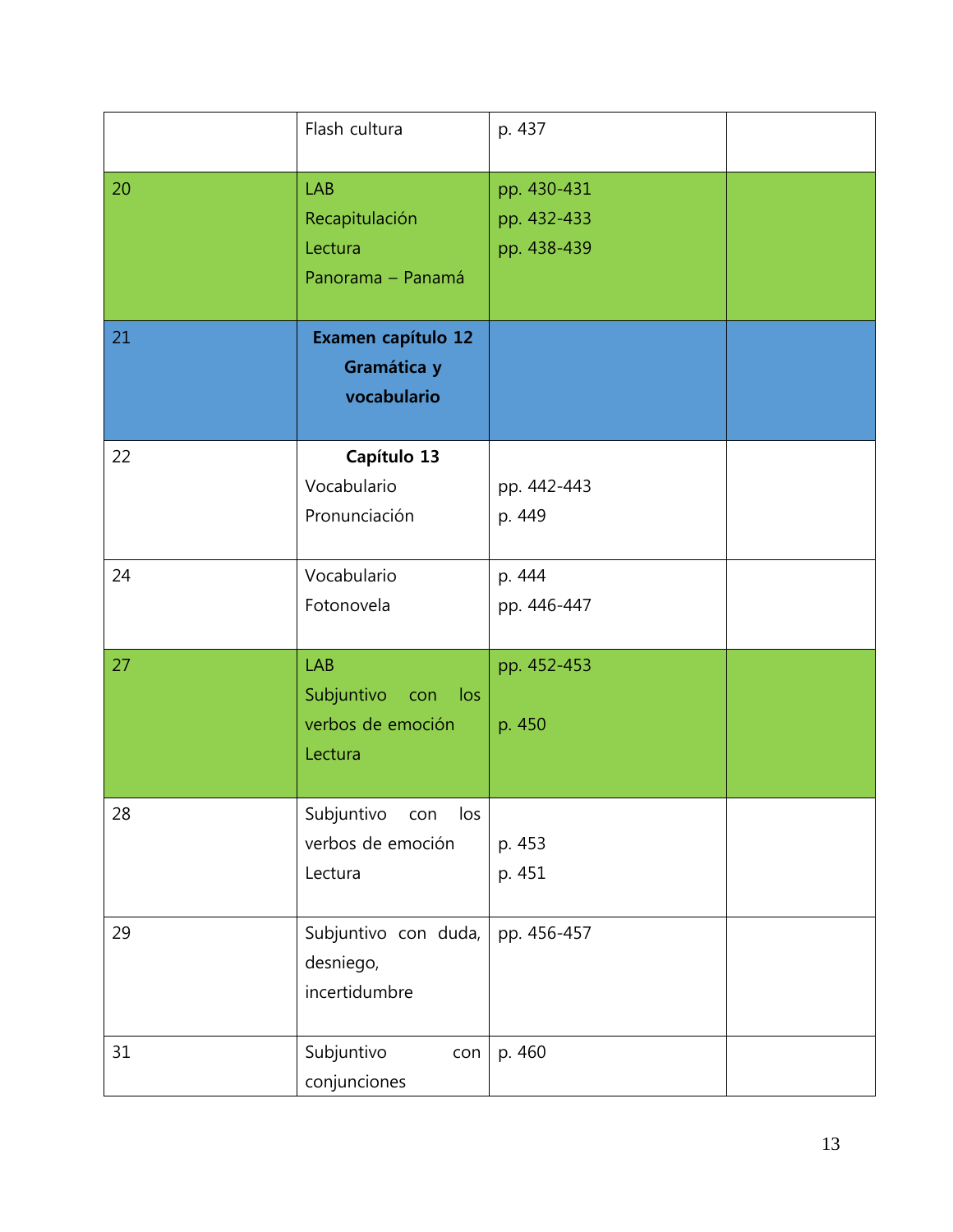|    | Flash cultura                                                    | p. 437                                    |  |
|----|------------------------------------------------------------------|-------------------------------------------|--|
| 20 | <b>LAB</b><br>Recapitulación<br>Lectura<br>Panorama - Panamá     | pp. 430-431<br>pp. 432-433<br>pp. 438-439 |  |
| 21 | Examen capítulo 12<br>Gramática y<br>vocabulario                 |                                           |  |
| 22 | Capítulo 13<br>Vocabulario<br>Pronunciación                      | pp. 442-443<br>p. 449                     |  |
| 24 | Vocabulario<br>Fotonovela                                        | p. 444<br>pp. 446-447                     |  |
| 27 | <b>LAB</b><br>Subjuntivo con los<br>verbos de emoción<br>Lectura | pp. 452-453<br>p. 450                     |  |
| 28 | Subjuntivo<br>con<br>los<br>verbos de emoción<br>Lectura         | p. 453<br>p. 451                          |  |
| 29 | Subjuntivo con duda,<br>desniego,<br>incertidumbre               | pp. 456-457                               |  |
| 31 | Subjuntivo<br>con<br>conjunciones                                | p. 460                                    |  |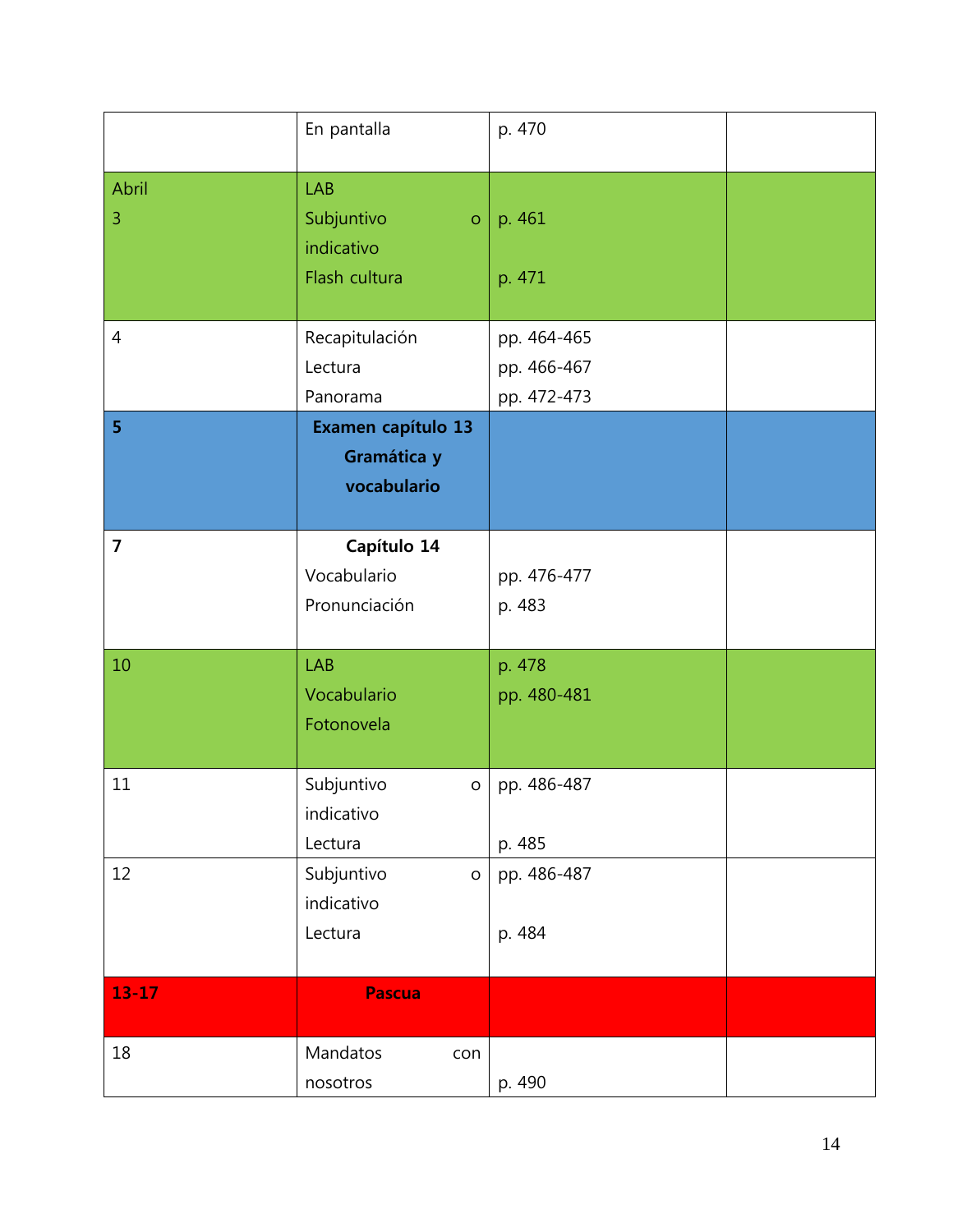|                         | En pantalla                                                               | p. 470                                    |  |
|-------------------------|---------------------------------------------------------------------------|-------------------------------------------|--|
| Abril<br>$\overline{3}$ | <b>LAB</b><br>Subjuntivo<br>$\overline{O}$<br>indicativo<br>Flash cultura | p. 461<br>p. 471                          |  |
| $\overline{4}$          | Recapitulación<br>Lectura<br>Panorama                                     | pp. 464-465<br>pp. 466-467<br>pp. 472-473 |  |
| 5 <sup>1</sup>          | Examen capítulo 13<br>Gramática y<br>vocabulario                          |                                           |  |
| $\overline{7}$          | Capítulo 14<br>Vocabulario<br>Pronunciación                               | pp. 476-477<br>p. 483                     |  |
| 10                      | <b>LAB</b><br>Vocabulario<br>Fotonovela                                   | p. 478<br>pp. 480-481                     |  |
| 11                      | Subjuntivo<br>$\mathsf O$<br>indicativo<br>Lectura                        | pp. 486-487<br>p. 485                     |  |
| 12                      | Subjuntivo<br>$\mathsf{o}$<br>indicativo<br>Lectura                       | pp. 486-487<br>p. 484                     |  |
| $13 - 17$               | <b>Pascua</b>                                                             |                                           |  |
| 18                      | Mandatos<br>con<br>nosotros                                               | p. 490                                    |  |